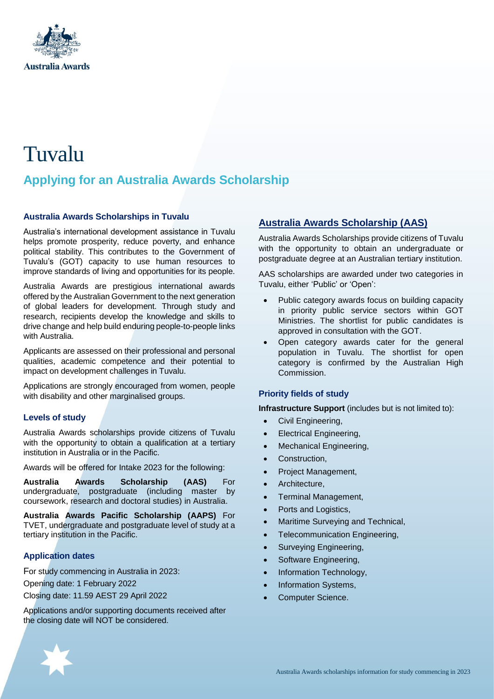

# Tuvalu

## **Applying for an Australia Awards Scholarship**

#### **Australia Awards Scholarships in Tuvalu**

Australia's international development assistance in Tuvalu helps promote prosperity, reduce poverty, and enhance political stability. This contributes to the Government of Tuvalu's (GOT) capacity to use human resources to improve standards of living and opportunities for its people.

Australia Awards are prestigious international awards offered by the Australian Government to the next generation of global leaders for development. Through study and research, recipients develop the knowledge and skills to drive change and help build enduring people-to-people links with Australia.

Applicants are assessed on their professional and personal qualities, academic competence and their potential to impact on development challenges in Tuvalu.

Applications are strongly encouraged from women, people with disability and other marginalised groups.

#### **Levels of study**

Australia Awards scholarships provide citizens of Tuvalu with the opportunity to obtain a qualification at a tertiary institution in Australia or in the Pacific.

Awards will be offered for Intake 2023 for the following:

**Australia Awards Scholarship (AAS)** For undergraduate, postgraduate (including master by coursework, research and doctoral studies) in Australia.

**Australia Awards Pacific Scholarship (AAPS)** For TVET, undergraduate and postgraduate level of study at a tertiary institution in the Pacific.

#### **Application dates**

For study commencing in Australia in 2023:

Opening date: 1 February 2022

Closing date: 11.59 AEST 29 April 2022

Applications and/or supporting documents received after the closing date will NOT be considered.

## **Australia Awards Scholarship (AAS)**

Australia Awards Scholarships provide citizens of Tuvalu with the opportunity to obtain an undergraduate or postgraduate degree at an Australian tertiary institution.

AAS scholarships are awarded under two categories in Tuvalu, either 'Public' or 'Open':

- Public category awards focus on building capacity in priority public service sectors within GOT Ministries. The shortlist for public candidates is approved in consultation with the GOT.
- Open category awards cater for the general population in Tuvalu. The shortlist for open category is confirmed by the Australian High Commission.

#### **Priority fields of study**

**Infrastructure Support** (includes but is not limited to):

- Civil Engineering,
- Electrical Engineering,
- Mechanical Engineering,
- Construction,
- Project Management,
- Architecture,
- Terminal Management,
- Ports and Logistics,
- Maritime Surveying and Technical,
- Telecommunication Engineering,
- Surveying Engineering,
- Software Engineering,
- Information Technology,
- Information Systems,
- Computer Science.

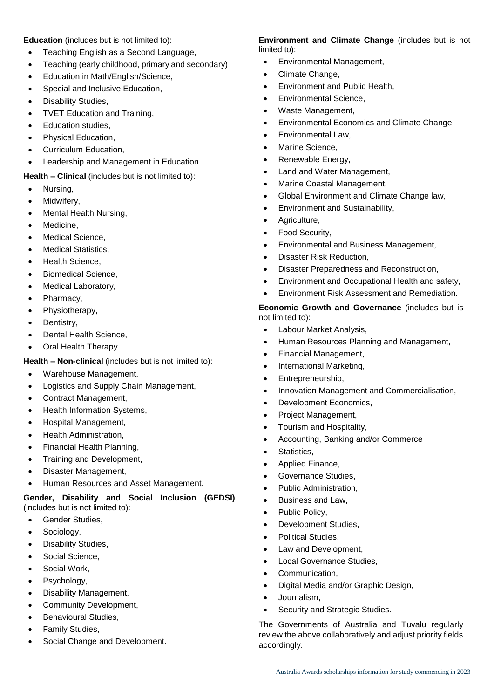**Education** (includes but is not limited to):

- Teaching English as a Second Language,
- Teaching (early childhood, primary and secondary)
- Education in Math/English/Science,
- Special and Inclusive Education,
- Disability Studies,
- TVET Education and Training,
- Education studies,
- Physical Education,
- Curriculum Education,
- Leadership and Management in Education.

#### **Health – Clinical** (includes but is not limited to):

- Nursing.
- Midwiferv.
- Mental Health Nursing,
- Medicine,
- Medical Science,
- Medical Statistics,
- Health Science,
- Biomedical Science,
- Medical Laboratory,
- Pharmacy,
- Physiotherapy,
- Dentistry,
- Dental Health Science,
- Oral Health Therapy.

#### **Health – Non-clinical** (includes but is not limited to):

- Warehouse Management,
- Logistics and Supply Chain Management,
- Contract Management,
- Health Information Systems,
- Hospital Management,
- Health Administration,
- Financial Health Planning,
- Training and Development,
- Disaster Management,
- Human Resources and Asset Management.

#### **Gender, Disability and Social Inclusion (GEDSI)**  (includes but is not limited to):

- Gender Studies,
- Sociology,
- Disability Studies,
- Social Science,
- Social Work,
- Psychology,
- Disability Management,
- Community Development,
- Behavioural Studies,
- Family Studies,
- Social Change and Development.

#### **Environment and Climate Change** (includes but is not limited to):

- Environmental Management,
- Climate Change,
- Environment and Public Health,
- **•** Environmental Science,
- Waste Management,
- Environmental Economics and Climate Change,
- Environmental Law,
- Marine Science,
- Renewable Energy,
- Land and Water Management,
- Marine Coastal Management,
- Global Environment and Climate Change law,
- Environment and Sustainability,
- Agriculture,
- Food Security,
- Environmental and Business Management,
- Disaster Risk Reduction,
- Disaster Preparedness and Reconstruction,
- Environment and Occupational Health and safety,
- Environment Risk Assessment and Remediation.

#### **Economic Growth and Governance** (includes but is not limited to):

- Labour Market Analysis,
- Human Resources Planning and Management,
- Financial Management,
- International Marketing,
- Entrepreneurship,
- Innovation Management and Commercialisation,
- Development Economics,
- Project Management,
- Tourism and Hospitality,
- Accounting, Banking and/or Commerce
- Statistics,
- Applied Finance,
- **•** Governance Studies,
- Public Administration.
- Business and Law,
- Public Policy,
- Development Studies,
- Political Studies,
- Law and Development,
- Local Governance Studies,
- Communication,
- Digital Media and/or Graphic Design,
- Journalism,
- Security and Strategic Studies.

The Governments of Australia and Tuvalu regularly review the above collaboratively and adjust priority fields accordingly.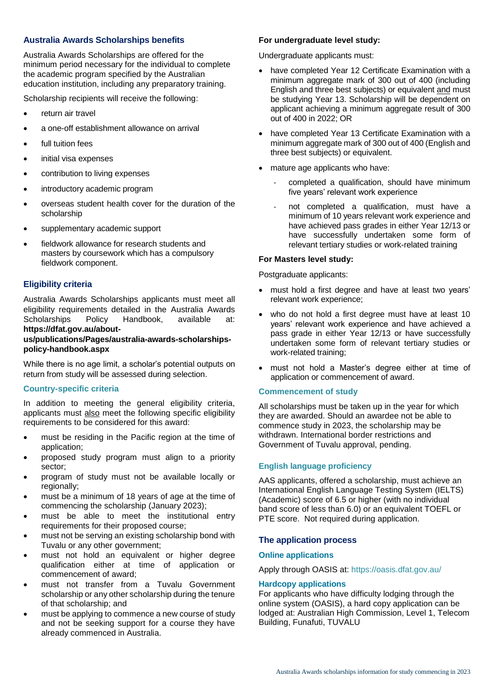#### **Australia Awards Scholarships benefits**

Australia Awards Scholarships are offered for the minimum period necessary for the individual to complete the academic program specified by the Australian education institution, including any preparatory training.

Scholarship recipients will receive the following:

- return air travel
- a one-off establishment allowance on arrival
- full tuition fees
- initial visa expenses
- contribution to living expenses
- introductory academic program
- overseas student health cover for the duration of the scholarship
- supplementary academic support
- fieldwork allowance for research students and masters by coursework which has a compulsory fieldwork component.

#### **Eligibility criteria**

Australia Awards Scholarships applicants must meet all eligibility requirements detailed in the Australia Awards Scholarships Policy Handbook, available at: **[https://dfat.gov.au/about-](https://dfat.gov.au/about-us/publications/Pages/australia-awards-scholarships-policy-handbook.aspx)**

#### **[us/publications/Pages/australia-awards-scholarships](https://dfat.gov.au/about-us/publications/Pages/australia-awards-scholarships-policy-handbook.aspx)[policy-handbook.aspx](https://dfat.gov.au/about-us/publications/Pages/australia-awards-scholarships-policy-handbook.aspx)**

While there is no age limit, a scholar's potential outputs on return from study will be assessed during selection.

#### **Country-specific criteria**

In addition to meeting the general eligibility criteria, applicants must also meet the following specific eligibility requirements to be considered for this award:

- must be residing in the Pacific region at the time of application;
- proposed study program must align to a priority sector;
- program of study must not be available locally or regionally;
- must be a minimum of 18 years of age at the time of commencing the scholarship (January 2023);
- must be able to meet the institutional entry requirements for their proposed course;
- must not be serving an existing scholarship bond with Tuvalu or any other government;
- must not hold an equivalent or higher degree qualification either at time of application or commencement of award;
- must not transfer from a Tuvalu Government scholarship or any other scholarship during the tenure of that scholarship; and
- must be applying to commence a new course of study and not be seeking support for a course they have already commenced in Australia.

## **For undergraduate level study:**

Undergraduate applicants must:

- have completed Year 12 Certificate Examination with a minimum aggregate mark of 300 out of 400 (including English and three best subjects) or equivalent and must be studying Year 13. Scholarship will be dependent on applicant achieving a minimum aggregate result of 300 out of 400 in 2022; OR
- have completed Year 13 Certificate Examination with a minimum aggregate mark of 300 out of 400 (English and three best subjects) or equivalent.
- mature age applicants who have:
	- completed a qualification, should have minimum five years' relevant work experience
	- not completed a qualification, must have a minimum of 10 years relevant work experience and have achieved pass grades in either Year 12/13 or have successfully undertaken some form of relevant tertiary studies or work-related training

#### **For Masters level study:**

Postgraduate applicants:

- must hold a first degree and have at least two years' relevant work experience;
- who do not hold a first degree must have at least 10 years' relevant work experience and have achieved a pass grade in either Year 12/13 or have successfully undertaken some form of relevant tertiary studies or work-related training;
- must not hold a Master's degree either at time of application or commencement of award.

#### **Commencement of study**

All scholarships must be taken up in the year for which they are awarded. Should an awardee not be able to commence study in 2023, the scholarship may be withdrawn. International border restrictions and Government of Tuvalu approval, pending.

#### **English language proficiency**

AAS applicants, offered a scholarship, must achieve an International English Language Testing System (IELTS) (Academic) score of 6.5 or higher (with no individual band score of less than 6.0) or an equivalent TOEFL or PTE score. Not required during application.

#### **The application process**

#### **Online applications**

Apply through OASIS at:<https://oasis.dfat.gov.au/>

#### **Hardcopy applications**

For applicants who have difficulty lodging through the online system (OASIS), a hard copy application can be lodged at: Australian High Commission, Level 1, Telecom Building, Funafuti, TUVALU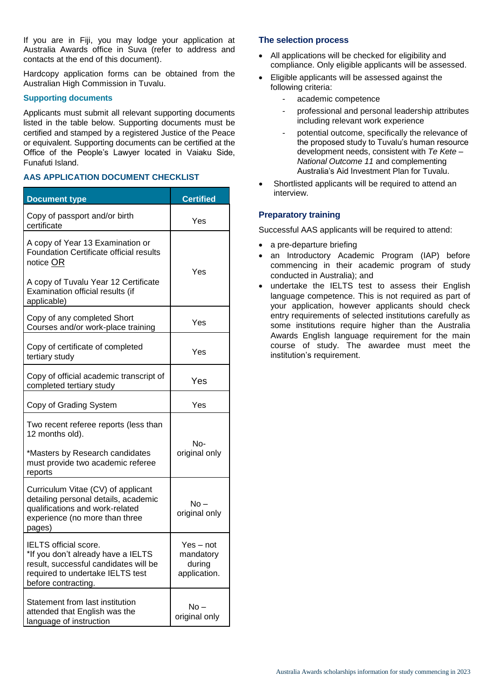If you are in Fiji, you may lodge your application at Australia Awards office in Suva (refer to address and contacts at the end of this document).

Hardcopy application forms can be obtained from the Australian High Commission in Tuvalu.

#### **Supporting documents**

Applicants must submit all relevant supporting documents listed in the table below. Supporting documents must be certified and stamped by a registered Justice of the Peace or equivalent. Supporting documents can be certified at the Office of the People's Lawyer located in Vaiaku Side, Funafuti Island.

#### **AAS APPLICATION DOCUMENT CHECKLIST**

| <b>Document type</b>                                                                                                                                                   | <b>Certified</b>                                 |
|------------------------------------------------------------------------------------------------------------------------------------------------------------------------|--------------------------------------------------|
| Copy of passport and/or birth<br>certificate                                                                                                                           | Yes                                              |
| A copy of Year 13 Examination or<br><b>Foundation Certificate official results</b><br>notice OR                                                                        | Yes                                              |
| A copy of Tuvalu Year 12 Certificate<br>Examination official results (if<br>applicable)                                                                                |                                                  |
| Copy of any completed Short<br>Courses and/or work-place training                                                                                                      | Yes                                              |
| Copy of certificate of completed<br>tertiary study                                                                                                                     | Yes                                              |
| Copy of official academic transcript of<br>completed tertiary study                                                                                                    | Yes                                              |
| Copy of Grading System                                                                                                                                                 | Yes                                              |
| Two recent referee reports (less than<br>12 months old).                                                                                                               |                                                  |
| *Masters by Research candidates<br>must provide two academic referee<br>reports                                                                                        | No-<br>original only                             |
| Curriculum Vitae (CV) of applicant<br>detailing personal details, academic<br>qualifications and work-related<br>experience (no more than three<br>pages)              | No –<br>original only                            |
| <b>IELTS</b> official score.<br>*If you don't already have a IELTS<br>result, successful candidates will be<br>required to undertake IELTS test<br>before contracting. | Yes – not<br>mandatory<br>during<br>application. |
| Statement from last institution<br>attended that English was the<br>language of instruction                                                                            | No –<br>original only                            |

#### **The selection process**

- All applications will be checked for eligibility and compliance. Only eligible applicants will be assessed.
- Eligible applicants will be assessed against the following criteria:
	- academic competence
	- professional and personal leadership attributes including relevant work experience
	- potential outcome, specifically the relevance of the proposed study to Tuvalu's human resource development needs, consistent with *Te Kete – National Outcome 11* and complementing Australia's Aid Investment Plan for Tuvalu.
- Shortlisted applicants will be required to attend an interview.

#### **Preparatory training**

Successful AAS applicants will be required to attend:

- a pre-departure briefing
- an Introductory Academic Program (IAP) before commencing in their academic program of study conducted in Australia); and
- undertake the IELTS test to assess their English language competence. This is not required as part of your application, however applicants should check entry requirements of selected institutions carefully as some institutions require higher than the Australia Awards English language requirement for the main course of study. The awardee must meet the institution's requirement.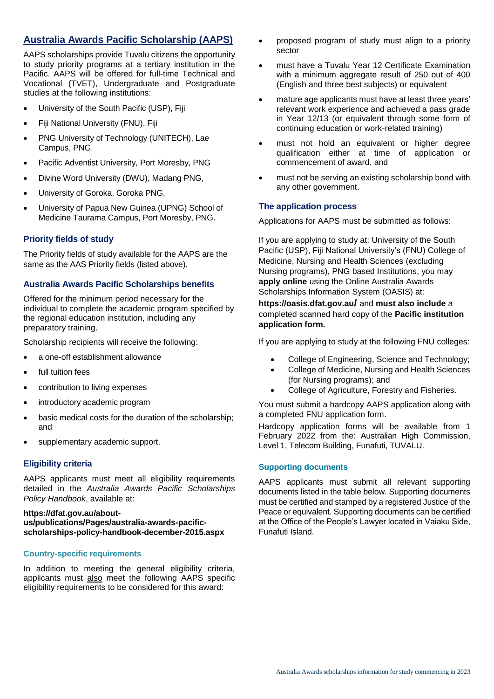## **Australia Awards Pacific Scholarship (AAPS)**

AAPS scholarships provide Tuvalu citizens the opportunity to study priority programs at a tertiary institution in the Pacific. AAPS will be offered for full-time Technical and Vocational (TVET), Undergraduate and Postgraduate studies at the following institutions:

- University of the South Pacific (USP), Fiji
- Fiji National University (FNU), Fiji
- PNG University of Technology (UNITECH), Lae Campus, PNG
- Pacific Adventist University, Port Moresby, PNG
- Divine Word University (DWU), Madang PNG,
- University of Goroka, Goroka PNG,
- University of Papua New Guinea (UPNG) School of Medicine Taurama Campus, Port Moresby, PNG.

#### **Priority fields of study**

The Priority fields of study available for the AAPS are the same as the AAS Priority fields (listed above).

#### **Australia Awards Pacific Scholarships benefits**

Offered for the minimum period necessary for the individual to complete the academic program specified by the regional education institution, including any preparatory training.

Scholarship recipients will receive the following:

- a one-off establishment allowance
- full tuition fees
- contribution to living expenses
- introductory academic program
- basic medical costs for the duration of the scholarship; and
- supplementary academic support.

#### **Eligibility criteria**

AAPS applicants must meet all eligibility requirements detailed in the *Australia Awards Pacific Scholarships Policy Handbook*, available at:

#### **[https://dfat.gov.au/about](https://dfat.gov.au/about-us/publications/Pages/australia-awards-pacific-scholarships-policy-handbook-december-2015.aspx)[us/publications/Pages/australia-awards-pacific](https://dfat.gov.au/about-us/publications/Pages/australia-awards-pacific-scholarships-policy-handbook-december-2015.aspx)[scholarships-policy-handbook-december-2015.aspx](https://dfat.gov.au/about-us/publications/Pages/australia-awards-pacific-scholarships-policy-handbook-december-2015.aspx)**

#### **Country-specific requirements**

In addition to meeting the general eligibility criteria, applicants must also meet the following AAPS specific eligibility requirements to be considered for this award:

- proposed program of study must align to a priority sector
- must have a Tuvalu Year 12 Certificate Examination with a minimum aggregate result of 250 out of 400 (English and three best subjects) or equivalent
- mature age applicants must have at least three years' relevant work experience and achieved a pass grade in Year 12/13 (or equivalent through some form of continuing education or work-related training)
- must not hold an equivalent or higher degree qualification either at time of application or commencement of award, and
- must not be serving an existing scholarship bond with any other government.

#### **The application process**

Applications for AAPS must be submitted as follows:

If you are applying to study at: University of the South Pacific (USP), Fiji National University's (FNU) College of Medicine, Nursing and Health Sciences (excluding Nursing programs), PNG based Institutions, you may **apply online** using the Online Australia Awards Scholarships Information System (OASIS) at:

#### **[https://oasis.dfat.gov.au](https://oasis.dfat.gov.au/)/** and **must also include** a completed scanned hard copy of the **Pacific institution application form.**

If you are applying to study at the following FNU colleges:

- College of Engineering, Science and Technology;
- College of Medicine, Nursing and Health Sciences (for Nursing programs); and
- College of Agriculture, Forestry and Fisheries.

You must submit a hardcopy AAPS application along with a completed FNU application form.

Hardcopy application forms will be available from 1 February 2022 from the: Australian High Commission, Level 1, Telecom Building, Funafuti, TUVALU.

#### **Supporting documents**

AAPS applicants must submit all relevant supporting documents listed in the table below. Supporting documents must be certified and stamped by a registered Justice of the Peace or equivalent. Supporting documents can be certified at the Office of the People's Lawyer located in Vaiaku Side, Funafuti Island.